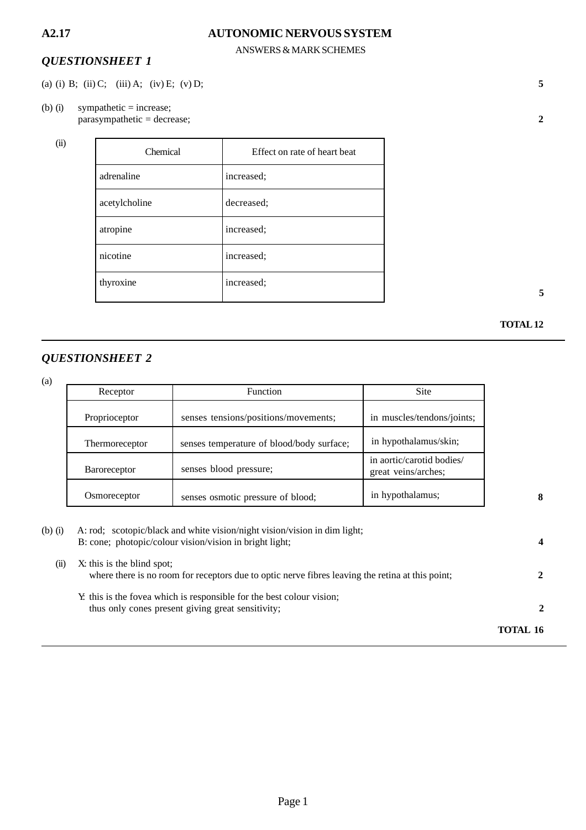#### ANSWERS & MARK SCHEMES

## *QUESTIONSHEET 1*

- (a) (i) B; (ii) C; (iii) A; (iv) E; (v) D; **5**
- (b) (i) sympathetic = increase; parasympathetic = decrease; **2**

(ii)

| Chemical      | Effect on rate of heart beat |
|---------------|------------------------------|
| adrenaline    | increased:                   |
| acetylcholine | decreased:                   |
| atropine      | increased:                   |
| nicotine      | increased;                   |
| thyroxine     | increased;                   |

**5**

#### **TOTAL 12**

# *QUESTIONSHEET 2*

(a)

| Receptor            | <b>Function</b>                           | <b>Site</b>                                      |
|---------------------|-------------------------------------------|--------------------------------------------------|
| Proprioceptor       | senses tensions/positions/movements;      | in muscles/tendons/joints;                       |
| Thermoreceptor      | senses temperature of blood/body surface; | in hypothalamus/skin;                            |
| <b>Baroreceptor</b> | senses blood pressure;                    | in aortic/carotid bodies/<br>great veins/arches; |
| Osmoreceptor        | senses osmotic pressure of blood;         | in hypothalamus;                                 |

| $(b)$ $(i)$ | A: rod; scotopic/black and white vision/night vision/vision in dim light;<br>B: cone; photopic/colour vision/vision in bright light; |          |
|-------------|--------------------------------------------------------------------------------------------------------------------------------------|----------|
| (11)        | X: this is the blind spot;<br>where there is no room for receptors due to optic nerve fibres leaving the retina at this point;       |          |
|             | Y this is the fovea which is responsible for the best colour vision;<br>thus only cones present giving great sensitivity;            |          |
|             |                                                                                                                                      | TOTAL 16 |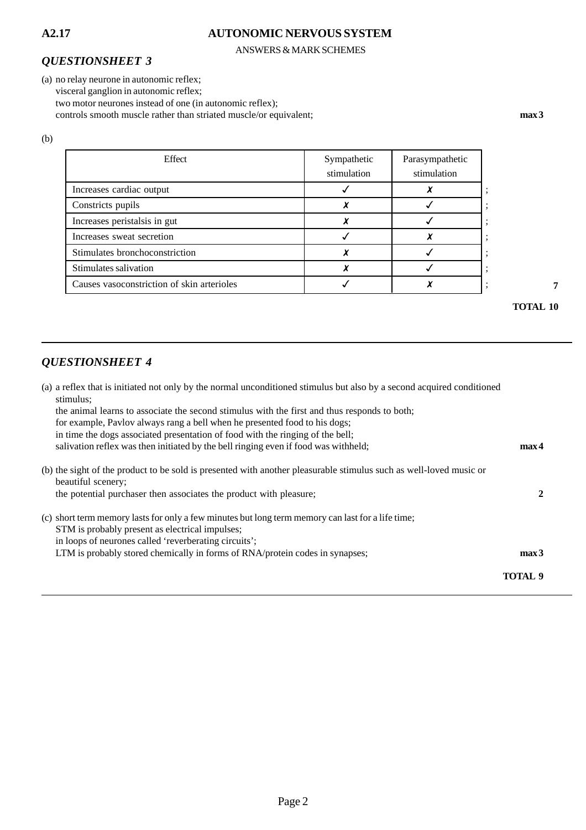#### ANSWERS & MARK SCHEMES

#### *QUESTIONSHEET 3*

(a) no relay neurone in autonomic reflex; visceral ganglion in autonomic reflex; two motor neurones instead of one (in autonomic reflex); controls smooth muscle rather than striated muscle/or equivalent; **max 3** 

(b)

| Sympathetic<br>stimulation | Parasympathetic<br>stimulation |
|----------------------------|--------------------------------|
|                            |                                |
|                            |                                |
|                            |                                |
|                            |                                |
|                            |                                |
|                            |                                |
|                            |                                |
|                            |                                |

**7**

**TOTAL 10**

# *QUESTIONSHEET 4*

| (a) a reflex that is initiated not only by the normal unconditioned stimulus but also by a second acquired conditioned<br>stimulus;      |                  |
|------------------------------------------------------------------------------------------------------------------------------------------|------------------|
| the animal learns to associate the second stimulus with the first and thus responds to both;                                             |                  |
| for example, Paylov always rang a bell when he presented food to his dogs;                                                               |                  |
| in time the dogs associated presentation of food with the ringing of the bell;                                                           |                  |
| salivation reflex was then initiated by the bell ringing even if food was withheld;                                                      | max <sub>4</sub> |
| (b) the sight of the product to be sold is presented with another pleasurable stimulus such as well-loved music or<br>beautiful scenery; |                  |
| the potential purchaser then associates the product with pleasure;                                                                       | 2                |
| (c) short term memory lasts for only a few minutes but long term memory can last for a life time;                                        |                  |
| STM is probably present as electrical impulses;                                                                                          |                  |
| in loops of neurones called 'reverberating circuits';                                                                                    |                  |
| LTM is probably stored chemically in forms of RNA/protein codes in synapses;                                                             | max <sub>3</sub> |
|                                                                                                                                          | TOTAL 9          |
|                                                                                                                                          |                  |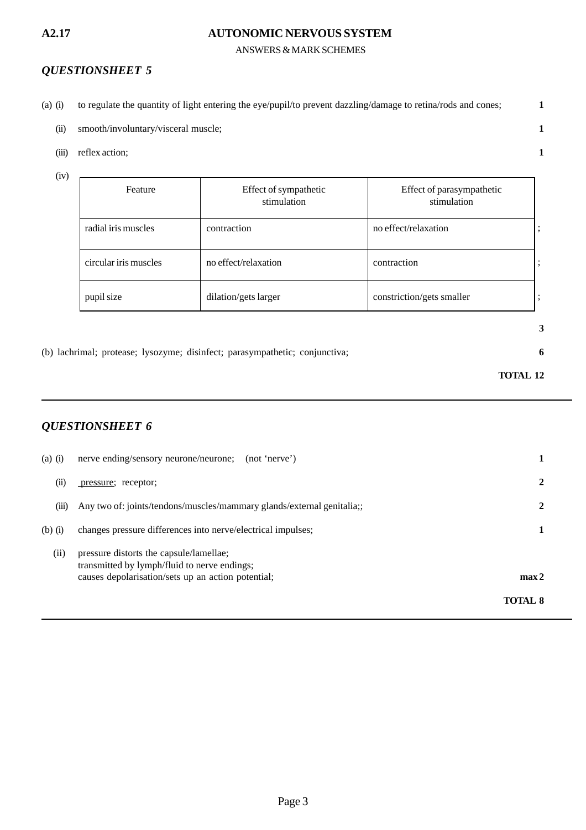#### ANSWERS & MARK SCHEMES

### *QUESTIONSHEET 5*

- (a) (i) to regulate the quantity of light entering the eye/pupil/to prevent dazzling/damage to retina/rods and cones; **1**
	- (ii) smooth/involuntary/visceral muscle; **1**
	- (iii) reflex action; **1**
	- (iv)

| Feature               | Effect of sympathetic<br>stimulation | Effect of parasympathetic<br>stimulation |  |
|-----------------------|--------------------------------------|------------------------------------------|--|
| radial iris muscles   | contraction                          | no effect/relaxation                     |  |
| circular iris muscles | no effect/relaxation                 | contraction                              |  |
| pupil size            | dilation/gets larger                 | constriction/gets smaller                |  |

(b) lachrimal; protease; lysozyme; disinfect; parasympathetic; conjunctiva; **6**

**3**

## **TOTAL 12**

# *QUESTIONSHEET 6*

| $(a)$ $(i)$ | nerve ending/sensory neurone/neurone;<br>(not 'nerve')                                                                                        |                  |
|-------------|-----------------------------------------------------------------------------------------------------------------------------------------------|------------------|
| (ii)        | pressure; receptor;                                                                                                                           | 2                |
| (iii)       | Any two of: joints/tendons/muscles/mammary glands/external genitalia;                                                                         | 2                |
| $(b)$ $(i)$ | changes pressure differences into nerve/electrical impulses;                                                                                  |                  |
| (ii)        | pressure distorts the capsule/lamellae;<br>transmitted by lymph/fluid to nerve endings;<br>causes depolarisation/sets up an action potential; | max <sub>2</sub> |
|             |                                                                                                                                               | <b>TOTAL 8</b>   |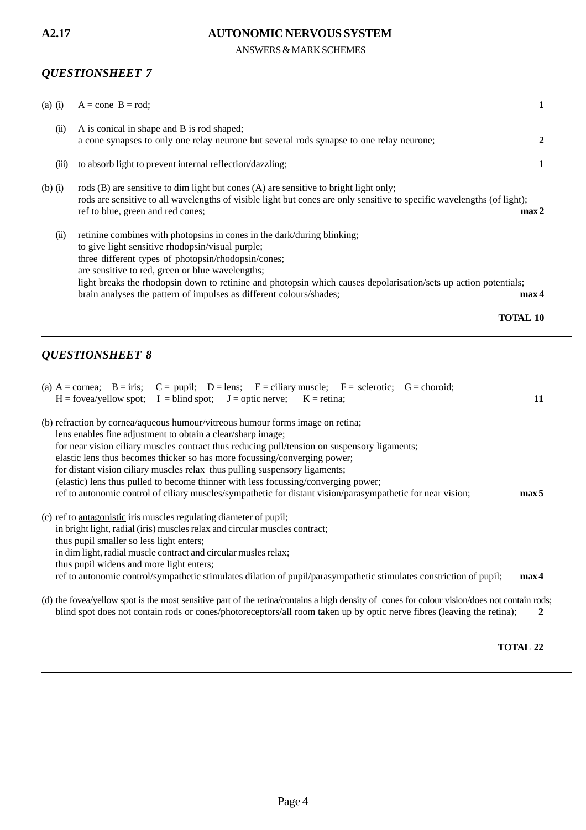ANSWERS & MARK SCHEMES

### *QUESTIONSHEET 7*

|             | <b>QUESTIONSHEET 8</b><br>$\mathbf{r}$ .<br>$\blacksquare$ $\blacksquare$ $\blacksquare$ $\blacksquare$ $\blacksquare$ $\blacksquare$ $\blacksquare$ $\blacksquare$ $\blacksquare$ $\blacksquare$ $\blacksquare$ $\blacksquare$ $\blacksquare$ $\blacksquare$ $\blacksquare$ $\blacksquare$ $\blacksquare$ $\blacksquare$ $\blacksquare$ $\blacksquare$ $\blacksquare$ $\blacksquare$ $\blacksquare$ $\blacksquare$ $\blacksquare$ $\blacksquare$ $\blacksquare$ $\blacksquare$ $\blacksquare$ $\blacksquare$ $\blacksquare$ $\blacks$ |
|-------------|----------------------------------------------------------------------------------------------------------------------------------------------------------------------------------------------------------------------------------------------------------------------------------------------------------------------------------------------------------------------------------------------------------------------------------------------------------------------------------------------------------------------------------------|
|             | <b>TOTAL 10</b>                                                                                                                                                                                                                                                                                                                                                                                                                                                                                                                        |
| (ii)        | retinine combines with photopsins in cones in the dark/during blinking;<br>to give light sensitive rhodopsin/visual purple;<br>three different types of photopsin/rhodopsin/cones;<br>are sensitive to red, green or blue wavelengths;<br>light breaks the rhodopsin down to retinine and photopsin which causes depolarisation/sets up action potentials;<br>brain analyses the pattern of impulses as different colours/shades;<br>max <sub>4</sub>                                                                                  |
| $(b)$ $(i)$ | rods (B) are sensitive to dim light but cones (A) are sensitive to bright light only;<br>rods are sensitive to all wavelengths of visible light but cones are only sensitive to specific wavelengths (of light);<br>ref to blue, green and red cones;<br>max2                                                                                                                                                                                                                                                                          |
| (iii)       | to absorb light to prevent internal reflection/dazzling;<br>1                                                                                                                                                                                                                                                                                                                                                                                                                                                                          |
| (ii)        | A is conical in shape and B is rod shaped;<br>a cone synapses to only one relay neurone but several rods synapse to one relay neurone;<br>2                                                                                                                                                                                                                                                                                                                                                                                            |
| $(a)$ (i)   | $A = cone$ B = rod;<br>1                                                                                                                                                                                                                                                                                                                                                                                                                                                                                                               |

| (a) $A = cornea$ ; $B = iris$ ; $C = pupil$ ; $D = lens$ ; $E = ciliarymuscle$ ; $F = sclerotic$ ; $G = choroid$ ; |                  |
|--------------------------------------------------------------------------------------------------------------------|------------------|
| $H = fovea/yellow spot$ ; $I = blind spot$ ; $J = optic nerve$ ; $K = retina$ ;                                    | 11               |
| (b) refraction by cornea/aqueous humour/vitreous humour forms image on retina;                                     |                  |
| lens enables fine adjustment to obtain a clear/sharp image;                                                        |                  |
| for near vision ciliary muscles contract thus reducing pull/tension on suspensory ligaments;                       |                  |
| elastic lens thus becomes thicker so has more focussing/converging power;                                          |                  |
| for distant vision ciliary muscles relax thus pulling suspensory ligaments;                                        |                  |
| (elastic) lens thus pulled to become thinner with less focussing/converging power;                                 |                  |
| ref to autonomic control of ciliary muscles/sympathetic for distant vision/parasympathetic for near vision;        | max <sub>5</sub> |
| (c) ref to antagonistic iris muscles regulating diameter of pupil;                                                 |                  |
| in bright light, radial (iris) muscles relax and circular muscles contract;                                        |                  |

thus pupil smaller so less light enters; in dim light, radial muscle contract and circular musles relax; thus pupil widens and more light enters;

ref to autonomic control/sympathetic stimulates dilation of pupil/parasympathetic stimulates constriction of pupil; **max 4**

(d) the fovea/yellow spot is the most sensitive part of the retina/contains a high density of cones for colour vision/does not contain rods; blind spot does not contain rods or cones/photoreceptors/all room taken up by optic nerve fibres (leaving the retina); **2**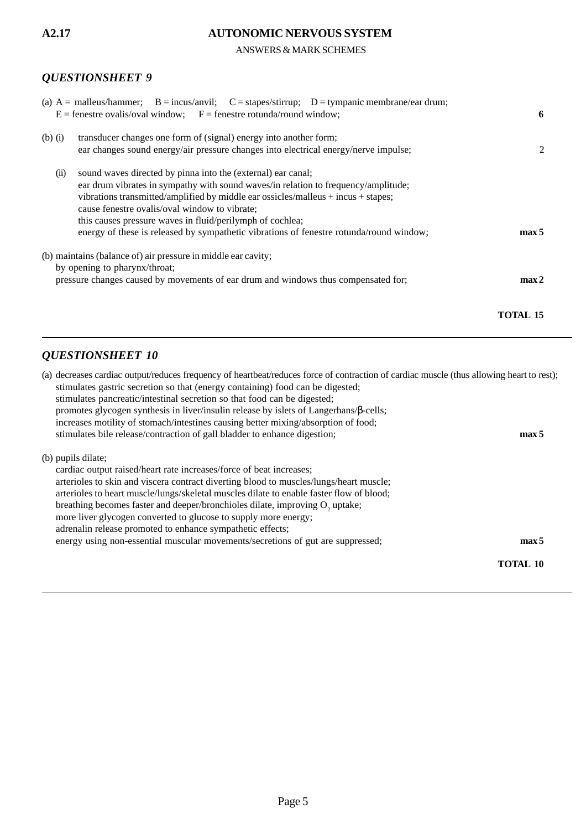# *QUESTIONSHEET 9*

# ANSWERS & MARK SCHEMES **A2.17 AUTONOMIC NERVOUS SYSTEM**

| (a) $A =$ malleus/hammer; $B =$ incus/anvil; $C =$ stapes/stirrup; $D =$ tympanic membrane/ear drum;<br>$E =$ fenestre ovalis/oval window; $F =$ fenestre rotunda/round window;                                                                                                                                                                                                                                                                          | 6                |
|----------------------------------------------------------------------------------------------------------------------------------------------------------------------------------------------------------------------------------------------------------------------------------------------------------------------------------------------------------------------------------------------------------------------------------------------------------|------------------|
| transducer changes one form of (signal) energy into another form;<br>$(b)$ $(i)$<br>ear changes sound energy/air pressure changes into electrical energy/nerve impulse;                                                                                                                                                                                                                                                                                  | 2                |
| sound waves directed by pinna into the (external) ear canal;<br>(ii)<br>ear drum vibrates in sympathy with sound waves/in relation to frequency/amplitude;<br>vibrations transmitted/amplified by middle ear ossicles/malleus + incus + stapes;<br>cause fenestre ovalis/oval window to vibrate;<br>this causes pressure waves in fluid/perilymph of cochlea;<br>energy of these is released by sympathetic vibrations of fenestre rotunda/round window; | max <sub>5</sub> |
| (b) maintains (balance of) air pressure in middle ear cavity;<br>by opening to pharynx/throat;<br>pressure changes caused by movements of ear drum and windows thus compensated for;                                                                                                                                                                                                                                                                     | max <sub>2</sub> |
|                                                                                                                                                                                                                                                                                                                                                                                                                                                          | TOTAL 15         |

# *QUESTIONSHEET 10*

| (a) decreases cardiac output/reduces frequency of heartbeat/reduces force of contraction of cardiac muscle (thus allowing heart to rest); |                  |
|-------------------------------------------------------------------------------------------------------------------------------------------|------------------|
| stimulates gastric secretion so that (energy containing) food can be digested;                                                            |                  |
| stimulates pancreatic/intestinal secretion so that food can be digested;                                                                  |                  |
| promotes glycogen synthesis in liver/insulin release by islets of Langerhans/β-cells;                                                     |                  |
| increases motility of stomach/intestines causing better mixing/absorption of food;                                                        |                  |
| stimulates bile release/contraction of gall bladder to enhance digestion;                                                                 | max 5            |
| (b) pupils dilate;<br>cardiac output raised/heart rate increases/force of beat increases;                                                 |                  |
| arterioles to skin and viscera contract diverting blood to muscles/lungs/heart muscle;                                                    |                  |
| arterioles to heart muscle/lungs/skeletal muscles dilate to enable faster flow of blood;                                                  |                  |
| breathing becomes faster and deeper/bronchioles dilate, improving O <sub>2</sub> uptake;                                                  |                  |
|                                                                                                                                           |                  |
| more liver glycogen converted to glucose to supply more energy;                                                                           |                  |
| adrenalin release promoted to enhance sympathetic effects;                                                                                |                  |
| energy using non-essential muscular movements/secretions of gut are suppressed;                                                           | max <sub>5</sub> |
|                                                                                                                                           | <b>TOTAL 10</b>  |